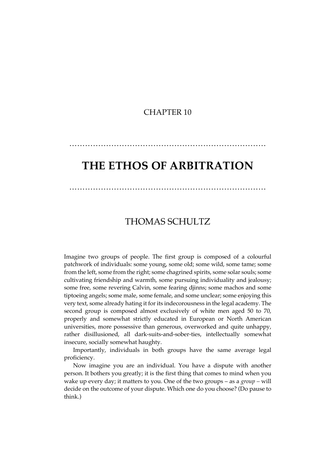### CHAPTER 10

# **THE ETHOS OF ARBITRATION**

…………………………………………………………………

…………………………………………………………………

# THOMAS SCHULTZ

Imagine two groups of people. The first group is composed of a colourful patchwork of individuals: some young, some old; some wild, some tame; some from the left, some from the right; some chagrined spirits, some solar souls; some cultivating friendship and warmth, some pursuing individuality and jealousy; some free, some revering Calvin, some fearing djinns; some machos and some tiptoeing angels; some male, some female, and some unclear; some enjoying this very text, some already hating it for its indecorousness in the legal academy. The second group is composed almost exclusively of white men aged 50 to 70, properly and somewhat strictly educated in European or North American universities, more possessive than generous, overworked and quite unhappy, rather disillusioned, all dark-suits-and-sober-ties, intellectually somewhat insecure, socially somewhat haughty.

Importantly, individuals in both groups have the same average legal proficiency.

Now imagine you are an individual. You have a dispute with another person. It bothers you greatly; it is the first thing that comes to mind when you wake up every day; it matters to you. One of the two groups – as a *group –* will decide on the outcome of your dispute. Which one do you choose? (Do pause to think.)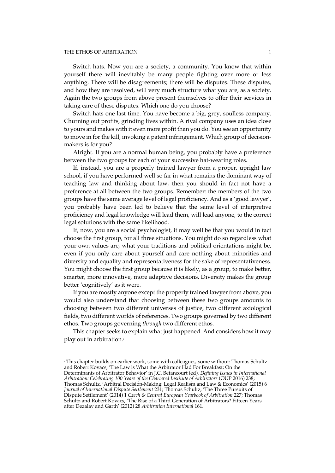#### THE ETHOS OF ARBITRATION 1

 $\overline{a}$ 

Switch hats. Now you are a society, a community. You know that within yourself there will inevitably be many people fighting over more or less anything. There will be disagreements; there will be disputes. These disputes, and how they are resolved, will very much structure what you are, as a society. Again the two groups from above present themselves to offer their services in taking care of these disputes. Which one do you choose?

Switch hats one last time. You have become a big, grey, soulless company. Churning out profits, grinding lives within. A rival company uses an idea close to yours and makes with it even more profit than you do. You see an opportunity to move in for the kill, invoking a patent infringement. Which group of decisionmakers is for you?

Alright. If you are a normal human being, you probably have a preference between the two groups for each of your successive hat-wearing roles.

If, instead, you are a properly trained lawyer from a proper, upright law school, if you have performed well so far in what remains the dominant way of teaching law and thinking about law, then you should in fact not have a preference at all between the two groups. Remember: the members of the two groups have the same average level of legal proficiency. And as a 'good lawyer', you probably have been led to believe that the same level of interpretive proficiency and legal knowledge will lead them, will lead anyone, to the correct legal solutions with the same likelihood.

If, now, you are a social psychologist, it may well be that you would in fact choose the first group, for all three situations. You might do so regardless what your own values are, what your traditions and political orientations might be, even if you only care about yourself and care nothing about minorities and diversity and equality and representativeness for the sake of representativeness. You might choose the first group because it is likely, as a group, to make better, smarter, more innovative, more adaptive decisions. Diversity makes the group better 'cognitively' as it were.

If you are mostly anyone except the properly trained lawyer from above, you would also understand that choosing between these two groups amounts to choosing between two different universes of justice, two different axiological fields, two different worlds of references. Two groups governed by two different ethos. Two groups governing *through* two different ethos.

This chapter seeks to explain what just happened. And considers how it may play out in arbitration.<sup>1</sup>

<sup>&</sup>lt;sup>1</sup> This chapter builds on earlier work, some with colleagues, some without: Thomas Schultz and Robert Kovacs, 'The Law is What the Arbitrator Had For Breakfast: On the

Determinants of Arbitrator Behavior' in J.C. Betancourt (ed), *Defining Issues in International Arbitration: Celebrating 100 Years of the Chartered Institute of Arbitrators* (OUP 2016) 238; Thomas Schultz, 'Arbitral Decision-Making: Legal Realism and Law & Economics' (2015) 6 *Journal of International Dispute Settlement* 231; Thomas Schultz, 'The Three Pursuits of Dispute Settlement' (2014) 1 *Czech & Central European Yearbook of Arbitration* 227; Thomas Schultz and Robert Kovacs, 'The Rise of a Third Generation of Arbitrators? Fifteen Years after Dezalay and Garth' (2012) 28 *Arbitration International* 161.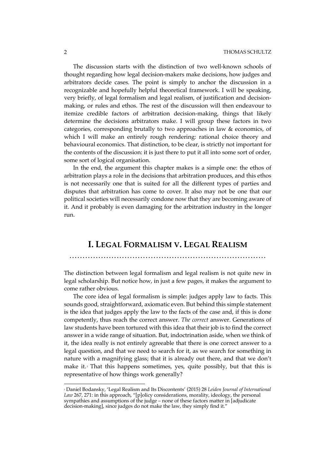The discussion starts with the distinction of two well-known schools of thought regarding how legal decision-makers make decisions, how judges and arbitrators decide cases. The point is simply to anchor the discussion in a recognizable and hopefully helpful theoretical framework. I will be speaking, very briefly, of legal formalism and legal realism, of justification and decisionmaking, or rules and ethos. The rest of the discussion will then endeavour to itemize credible factors of arbitration decision-making, things that likely determine the decisions arbitrators make. I will group these factors in two categories, corresponding brutally to two approaches in law & economics, of which I will make an entirely rough rendering: rational choice theory and behavioural economics. That distinction, to be clear, is strictly not important for the contents of the discussion: it is just there to put it all into some sort of order, some sort of logical organisation.

In the end, the argument this chapter makes is a simple one: the ethos of arbitration plays a role in the decisions that arbitration produces, and this ethos is not necessarily one that is suited for all the different types of parties and disputes that arbitration has come to cover. It also may not be one that our political societies will necessarily condone now that they are becoming aware of it. And it probably is even damaging for the arbitration industry in the longer run.

# **I. LEGAL FORMALISM V. LEGAL REALISM**

### …………………………………………………………………

The distinction between legal formalism and legal realism is not quite new in legal scholarship. But notice how, in just a few pages, it makes the argument to come rather obvious.

The core idea of legal formalism is simple: judges apply law to facts. This sounds good, straightforward, axiomatic even. But behind this simple statement is the idea that judges apply the law to the facts of the case and, if this is done competently, thus reach the correct answer. *The correct* answer. Generations of law students have been tortured with this idea that their job is to find the correct answer in a wide range of situation. But, indoctrination aside, when we think of it, the idea really is not entirely agreeable that there is one correct answer to a legal question, and that we need to search for it, as we search for something in nature with a magnifying glass; that it is already out there, and that we don't make it. $\alpha$  That this happens sometimes, yes, quite possibly, but that this is representative of how things work generally?

<sup>2</sup> Daniel Bodansky, 'Legal Realism and Its Discontents' (2015) 28 *Leiden Journal of International Law* 267, 271: in this approach, "[p]olicy considerations, morality, ideology, the personal sympathies and assumptions of the judge – none of these factors matter in [adjudicate decision-making], since judges do not make the law, they simply find it."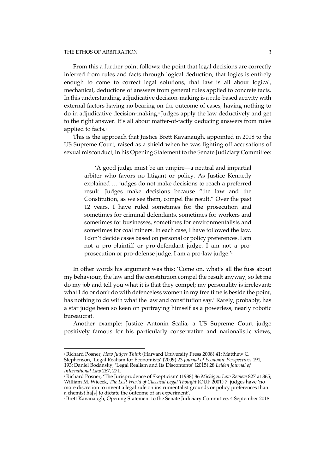#### THE ETHOS OF ARBITRATION 3

 $\overline{a}$ 

From this a further point follows: the point that legal decisions are correctly inferred from rules and facts through logical deduction, that logics is entirely enough to come to correct legal solutions, that law is all about logical, mechanical, deductions of answers from general rules applied to concrete facts. In this understanding, adjudicative decision-making is a rule-based activity with external factors having no bearing on the outcome of cases, having nothing to do in adjudicative decision-making.3 Judges apply the law deductively and get to the right answer. It's all about matter-of-factly deducing answers from rules applied to facts.<sup>4</sup>

This is the approach that Justice Brett Kavanaugh, appointed in 2018 to the US Supreme Court, raised as a shield when he was fighting off accusations of sexual misconduct, in his Opening Statement to the Senate Judiciary Committee:

'A good judge must be an umpire—a neutral and impartial arbiter who favors no litigant or policy. As Justice Kennedy explained … judges do not make decisions to reach a preferred result. Judges make decisions because "the law and the Constitution, as we see them, compel the result." Over the past 12 years, I have ruled sometimes for the prosecution and sometimes for criminal defendants, sometimes for workers and sometimes for businesses, sometimes for environmentalists and sometimes for coal miners. In each case, I have followed the law. I don't decide cases based on personal or policy preferences. I am not a pro-plaintiff or pro-defendant judge. I am not a proprosecution or pro-defense judge. I am a pro-law judge.'5

In other words his argument was this: 'Come on, what's all the fuss about my behaviour, the law and the constitution compel the result anyway, so let me do my job and tell you what it is that they compel; my personality is irrelevant; what I do or don't do with defenceless women in my free time is beside the point, has nothing to do with what the law and constitution say.' Rarely, probably, has a star judge been so keen on portraying himself as a powerless, nearly robotic bureaucrat.

Another example: Justice Antonin Scalia, a US Supreme Court judge positively famous for his particularly conservative and nationalistic views,

<sup>3</sup> Richard Posner, *How Judges Think* (Harvard University Press 2008) 41; Matthew C. Stephenson, 'Legal Realism for Economists' (2009) 23 *Journal of Economic Perspectives* 191, 193; Daniel Bodansky, 'Legal Realism and Its Discontents' (2015) 28 *Leiden Journal of International Law* 267, 271.

<sup>4</sup> Richard Posner, 'The Jurisprudence of Skepticism' (1988) 86 *Michigan Law Review* 827 at 865; William M. Wiecek, *The Lost World of Classical Legal Thought* (OUP 2001) 7: judges have 'no more discretion to invent a legal rule on instrumentalist grounds or policy preferences than a chemist ha[s] to dictate the outcome of an experiment'.

<sup>5</sup> Brett Kavanaugh, Opening Statement to the Senate Judiciary Committee, 4 September 2018.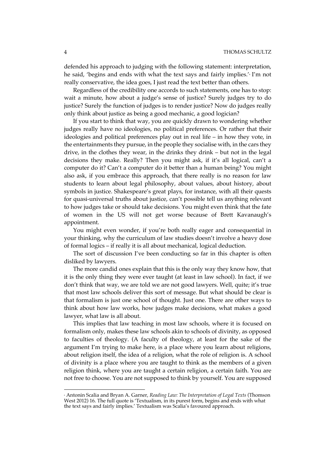defended his approach to judging with the following statement: interpretation, he said, 'begins and ends with what the text says and fairly implies.'<sup>6</sup> I'm not really conservative, the idea goes, I just read the text better than others.

Regardless of the credibility one accords to such statements, one has to stop: wait a minute, how about a judge's sense of justice? Surely judges try to do justice? Surely the function of judges is to render justice? Now do judges really only think about justice as being a good mechanic, a good logician?

If you start to think that way, you are quickly drawn to wondering whether judges really have no ideologies, no political preferences. Or rather that their ideologies and political preferences play out in real life – in how they vote, in the entertainments they pursue, in the people they socialise with, in the cars they drive, in the clothes they wear, in the drinks they drink – but not in the legal decisions they make. Really? Then you might ask, if it's all logical, can't a computer do it? Can't a computer do it better than a human being? You might also ask, if you embrace this approach, that there really is no reason for law students to learn about legal philosophy, about values, about history, about symbols in justice. Shakespeare's great plays, for instance, with all their quests for quasi-universal truths about justice, can't possible tell us anything relevant to how judges take or should take decisions. You might even think that the fate of women in the US will not get worse because of Brett Kavanaugh's appointment.

You might even wonder, if you're both really eager and consequential in your thinking, why the curriculum of law studies doesn't involve a heavy dose of formal logics – if really it is all about mechanical, logical deduction.

The sort of discussion I've been conducting so far in this chapter is often disliked by lawyers.

The more candid ones explain that this is the only way they know how, that it is the only thing they were ever taught (at least in law school). In fact, if we don't think that way, we are told we are not good lawyers. Well, quite; it's true that most law schools deliver this sort of message. But what should be clear is that formalism is just one school of thought. Just one. There are other ways to think about how law works, how judges make decisions, what makes a good lawyer, what law is all about.

This implies that law teaching in most law schools, where it is focused on formalism only, makes these law schools akin to schools of divinity, as opposed to faculties of theology. (A faculty of theology, at least for the sake of the argument I'm trying to make here, is a place where you learn about religions, about religion itself, the idea of a religion, what the role of religion is. A school of divinity is a place where you are taught to think as the members of a given religion think, where you are taught a certain religion, a certain faith. You are not free to choose. You are not supposed to think by yourself. You are supposed

<sup>6</sup> Antonin Scalia and Bryan A. Garner, *Reading Law: The Interpretation of Legal Texts* (Thomson West 2012) 16. The full quote is 'Textualism, in its purest form, begins and ends with what the text says and fairly implies.' Textualism was Scalia's favoured approach.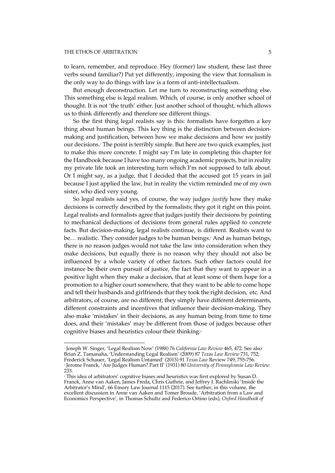#### THE ETHOS OF ARBITRATION 5

to learn, remember, and reproduce. Hey (former) law student, these last three verbs sound familiar?) Put yet differently, imposing the view that formalism is the only way to do things with law is a form of anti-intellectualism.

But enough deconstruction. Let me turn to reconstructing something else. This something else is legal realism. Which, of course, is only another school of thought. It is not 'the truth' either. Just another school of thought, which allows us to think differently and therefore see different things.

So the first thing legal realists say is this: formalists have forgotten a key thing about human beings. This key thing is the distinction between decisionmaking and justification, between how we make decisions and how we justify our decisions.<sup>7</sup> The point is terribly simple. But here are two quick examples, just to make this more concrete. I might say I'm late in completing this chapter for the Handbook because I have too many ongoing academic projects, but in reality my private life took an interesting turn which I'm not supposed to talk about. Or I might say, as a judge, that I decided that the accused got 15 years in jail because I just applied the law, but in reality the victim reminded me of my own sister, who died very young.

So legal realists said yes, of course, the way judges *justify* how they make decisions is correctly described by the formalists; they got it right on this point. Legal realists and formalists agree that judges justify their decisions by pointing to mechanical deductions of decisions from general rules applied to concrete facts. But decision-making, legal realists continue, is different. Realists want to be... realistic. They consider judges to be human beings. And as human beings, there is no reason judges would not take the law into consideration when they make decisions, but equally there is no reason why they should not also be influenced by a whole variety of other factors. Such other factors could for instance be their own pursuit of justice, the fact that they want to appear in a positive light when they make a decision, that at least some of them hope for a promotion to a higher court somewhere, that they want to be able to come hope and tell their husbands and girlfriends that they took the right decision, etc. And arbitrators, of course, are no different; they simply have different determinants, different constraints and incentives that influence their decision-making. They also make 'mistakes' in their decisions, as any human being from time to time does, and their 'mistakes' may be different from those of judges because other cognitive biases and heuristics colour their thinking.<sup>9</sup>

 $\overline{a}$ <sup>7</sup> Joseph W. Singer, 'Legal Realism Now' (1988) 76 *California Law Review* 465, 472. See also Brian Z. Tamanaha, 'Understanding Legal Realism' (2009) 87 *Texas Law Review* 731, 752; Frederick Schauer, 'Legal Realism Untamed' (2013) 91 *Texas Law* Review 749, 755-756. <sup>8</sup> Jerome Franck, 'Are Judges Human? Part II' (1931) 80 *University of Pennsylvania Law Review* 233.

<sup>9</sup> This idea of arbitrators' cognitive biases and heuristics was first explored by Susan D. Franck, Anne van Aaken, James Freda, Chris Guthrie, and Jeffrey J. Rachlinski 'Inside the Arbitrator's Mind', 66 Emory Law Journal 1115 (2017). See further, in this volume, the excellent discussion in Anne van Aaken and Tomer Broude, 'Arbitration from a Law and Economics Perspective', in Thomas Schultz and Federico Ortino (eds), *Oxford Handbook of*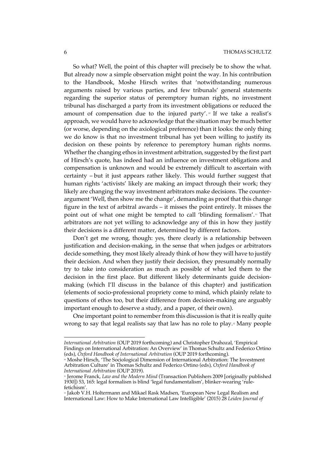So what? Well, the point of this chapter will precisely be to show the what. But already now a simple observation might point the way. In his contribution to the Handbook, Moshe Hirsch writes that 'notwithstanding numerous arguments raised by various parties, and few tribunals' general statements regarding the superior status of peremptory human rights, no investment tribunal has discharged a party from its investment obligations or reduced the amount of compensation due to the injured party'.<sup>10</sup> If we take a realist's approach, we would have to acknowledge that the situation may be much better (or worse, depending on the axiological preference) than it looks: the only thing we do know is that no investment tribunal has yet been willing to justify its decision on these points by reference to peremptory human rights norms. Whether the changing ethos in investment arbitration, suggested by the first part of Hirsch's quote, has indeed had an influence on investment obligations and compensation is unknown and would be extremely difficult to ascertain with certainty – but it just appears rather likely. This would further suggest that human rights 'activists' likely are making an impact through their work; they likely are changing the way investment arbitrators make decisions. The counterargument 'Well, then show me the change', demanding as proof that this change figure in the text of arbitral awards – it misses the point entirely. It misses the point out of what one might be tempted to call 'blinding formalism'.<sup>11</sup> That arbitrators are not yet willing to acknowledge any of this in how they justify their decisions is a different matter, determined by different factors.

Don't get me wrong, though: yes, there clearly is a relationship between justification and decision-making, in the sense that when judges or arbitrators decide something, they most likely already think of how they will have to justify their decision. And when they justify their decision, they presumably normally try to take into consideration as much as possible of what led them to the decision in the first place. But different likely determinants guide decisionmaking (which I'll discuss in the balance of this chapter) and justification (elements of socio-professional propriety come to mind, which plainly relate to questions of ethos too, but their difference from decision-making are arguably important enough to deserve a study, and a paper, of their own).

One important point to remember from this discussion is that it is really quite wrong to say that legal realists say that law has no role to play.<sup>12</sup> Many people

*International Arbitration* (OUP 2019 forthcoming) and Christopher Drahozal, 'Empirical Findings on International Arbitration: An Overview' in Thomas Schultz and Federico Ortino (eds), *Oxford Handbook of International Arbitration* (OUP 2019 forthcoming).

<sup>&</sup>lt;sup>10</sup> Moshe Hirsch, 'The Sociological Dimension of International Arbitration: The Investment Arbitration Culture' in Thomas Schultz and Federico Ortino (eds), *Oxford Handbook of International Arbitration* (OUP 2019).

<sup>11</sup> Jerome Franck, *Law and the Modern Mind* (Transaction Publishers 2009 [originally published 1930]) 53, 165: legal formalism is blind 'legal fundamentalism', blinker-wearing 'rulefetichism'.

<sup>&</sup>lt;sup>12</sup> Jakob V.H. Holtermann and Mikael Rask Madsen, 'European New Legal Realism and International Law: How to Make International Law Intelligible' (2015) 28 *Leiden Journal of*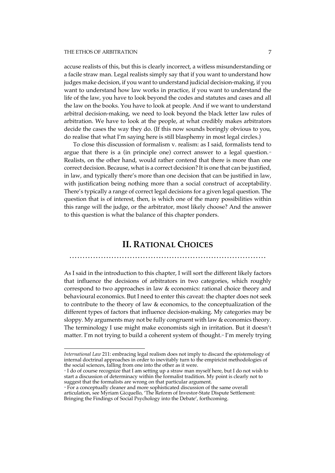$\overline{a}$ 

accuse realists of this, but this is clearly incorrect, a witless misunderstanding or a facile straw man. Legal realists simply say that if you want to understand how judges make decision, if you want to understand judicial decision-making, if you want to understand how law works in practice, if you want to understand the life of the law, you have to look beyond the codes and statutes and cases and all the law on the books. You have to look at people. And if we want to understand arbitral decision-making, we need to look beyond the black letter law rules of arbitration. We have to look at the people, at what credibly makes arbitrators decide the cases the way they do. (If this now sounds boringly obvious to you, do realise that what I'm saying here is still blasphemy in most legal circles.)

To close this discussion of formalism v. realism: as I said, formalists tend to argue that there is a (in principle one) correct answer to a legal question.<sup>13</sup> Realists, on the other hand, would rather contend that there is more than one correct decision. Because, what is a correct decision? It is one that can be justified, in law, and typically there's more than one decision that can be justified in law, with justification being nothing more than a social construct of acceptability. There's typically a range of correct legal decisions for a given legal question. The question that is of interest, then, is which one of the many possibilities within this range will the judge, or the arbitrator, most likely choose? And the answer to this question is what the balance of this chapter ponders.

## **II. RATIONAL CHOICES**

…………………………………………………………………

As I said in the introduction to this chapter, I will sort the different likely factors that influence the decisions of arbitrators in two categories, which roughly correspond to two approaches in law & economics: rational choice theory and behavioural economics. But I need to enter this caveat: the chapter does not seek to contribute to the theory of law & economics, to the conceptualization of the different types of factors that influence decision-making. My categories may be sloppy. My arguments may not be fully congruent with law & economics theory. The terminology I use might make economists sigh in irritation. But it doesn't matter. I'm not trying to build a coherent system of thought.14 I'm merely trying

<sup>13</sup> I do of course recognize that I am setting up a straw man myself here, but I do not wish to start a discussion of determinacy within the formalist tradition. My point is clearly not to suggest that the formalists are wrong on that particular argument.

*International Law* 211: embracing legal realism does not imply to discard the epistemology of internal doctrinal approaches in order to inevitably turn to the empiricist methodologies of the social sciences, falling from one into the other as it were.

<sup>&</sup>lt;sup>14</sup> For a conceptually cleaner and more sophisticated discussion of the same overall articulation, see Myriam Gicquello, 'The Reform of Investor-State Dispute Settlement: Bringing the Findings of Social Psychology into the Debate', forthcoming.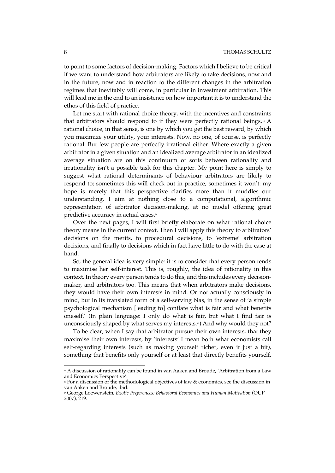to point to some factors of decision-making. Factors which I believe to be critical if we want to understand how arbitrators are likely to take decisions, now and in the future, now and in reaction to the different changes in the arbitration regimes that inevitably will come, in particular in investment arbitration. This will lead me in the end to an insistence on how important it is to understand the ethos of this field of practice.

Let me start with rational choice theory, with the incentives and constraints that arbitrators should respond to if they were perfectly rational beings.<sup>55</sup> A rational choice, in that sense, is one by which you get the best reward, by which you maximize your utility, your interests. Now, no one, of course, is perfectly rational. But few people are perfectly irrational either. Where exactly a given arbitrator in a given situation and an idealized average arbitrator in an idealized average situation are on this continuum of sorts between rationality and irrationality isn't a possible task for this chapter. My point here is simply to suggest what rational determinants of behaviour arbitrators are likely to respond to; sometimes this will check out in practice, sometimes it won't: my hope is merely that this perspective clarifies more than it muddles our understanding. I aim at nothing close to a computational, algorithmic representation of arbitrator decision-making, at no model offering great predictive accuracy in actual cases.<sup>16</sup>

Over the next pages, I will first briefly elaborate on what rational choice theory means in the current context. Then I will apply this theory to arbitrators' decisions on the merits, to procedural decisions, to 'extreme' arbitration decisions, and finally to decisions which in fact have little to do with the case at hand.

So, the general idea is very simple: it is to consider that every person tends to maximise her self-interest. This is, roughly, the idea of rationality in this context. In theory every person tends to do this, and this includes every decisionmaker, and arbitrators too. This means that when arbitrators make decisions, they would have their own interests in mind. Or not actually consciously in mind, but in its translated form of a self-serving bias, in the sense of 'a simple psychological mechanism [leading to] conflate what is fair and what benefits oneself.' (In plain language: I only do what is fair, but what I find fair is unconsciously shaped by what serves my interests.<sup>17</sup>) And why would they not?

To be clear, when I say that arbitrator pursue their own interests, that they maximise their own interests, by 'interests' I mean both what economists call self-regarding interests (such as making yourself richer, even if just a bit), something that benefits only yourself or at least that directly benefits yourself,

 $\,$  15 A discussion of rationality can be found in van Aaken and Broude, 'Arbitration from a Law and Economics Perspective'.

<sup>&</sup>lt;sup>16</sup> For a discussion of the methodological objectives of law & economics, see the discussion in van Aaken and Broude, ibid.

<sup>17</sup> George Loewenstein, *Exotic Preferences: Behavioral Economics and Human Motivation* (OUP 2007), 219.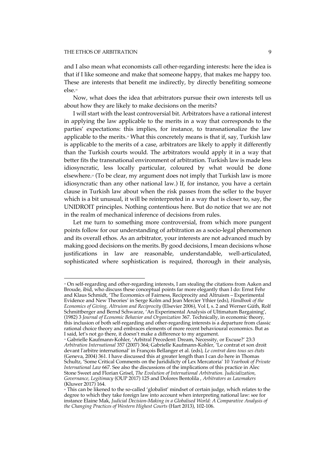$\overline{a}$ 

and I also mean what economists call other-regarding interests: here the idea is that if I like someone and make that someone happy, that makes me happy too. These are interests that benefit me indirectly, by directly benefiting someone else.18

Now, what does the idea that arbitrators pursue their own interests tell us about how they are likely to make decisions on the merits?

I will start with the least controversial bit. Arbitrators have a rational interest in applying the law applicable to the merits in a way that corresponds to the parties' expectations: this implies, for instance, to transnationalize the law applicable to the merits.<sup>19</sup> What this concretely means is that if, say, Turkish law is applicable to the merits of a case, arbitrators are likely to apply it differently than the Turkish courts would. The arbitrators would apply it in a way that better fits the transnational environment of arbitration. Turkish law is made less idiosyncratic, less locally particular, coloured by what would be done elsewhere.<sup>®</sup> (To be clear, my argument does not imply that Turkish law is more idiosyncratic than any other national law.) If, for instance, you have a certain clause in Turkish law about when the risk passes from the seller to the buyer which is a bit unusual, it will be reinterpreted in a way that is closer to, say, the UNIDROIT principles. Nothing contentious here. But do notice that we are not in the realm of mechanical inference of decisions from rules.

Let me turn to something more controversial, from which more pungent points follow for our understanding of arbitration as a socio-legal phenomenon and its overall ethos. As an arbitrator, your interests are not advanced much by making good decisions on the merits. By good decisions, I mean decisions whose justifications in law are reasonable, understandable, well-articulated, sophisticated where sophistication is required, thorough in their analysis,

<sup>&</sup>lt;sup>18</sup> On self-regarding and other-regarding interests, I am stealing the citations from Aaken and Broude, ibid, who discuss these conceptual points far more elegantly than I do: Ernst Fehr and Klaus Schmidt, 'The Economics of Fairness, Reciprocity and Altruism – Experimental Evidence and New Theories' in Serge Kolm and Jean Mercier Ythier (eds), *Handbook of the Economics of Giving, Altruism and Reciprocity* (Elsevier 2006), Vol I, s. 2 and Werner Güth, Rolf Schmittberger and Bernd Schwarze, 'An Experimental Analysis of Ultimatum Bargaining', (1982) 3 *Journal of Economic Behavior and Organization* 367. Technically, in economic theory, this inclusion of both self-regarding and other-regarding interests is a departure from classic rational choice theory and embraces elements of more recent behavioural economics. But as I said, let's not go there, it doesn't make a difference to my argument.

<sup>19</sup> Gabrielle Kaufmann-Kohler, 'Arbitral Precedent: Dream, Necessity, or Excuse?' 23:3 *Arbitration International* 357 (2007) 364; Gabrielle Kaufmann-Kohler, 'Le contrat et son droit devant l'arbitre international' in François Bellanger et al. (eds), *Le contrat dans tous ses états* (Geneva, 2004) 361. I have discussed this at greater length than I can do here in Thomas Schultz, 'Some Critical Comments on the Jurididicty of Lex Mercatoria' 10 *Yearbook of Private International Law* 667. See also the discussions of the implications of this practice in Alec Stone Sweet and Florian Grisel, *The Evolution of International Arbitration. Judicialization, Governance, Legitimacy* (OUP 2017) 125 and Dolores Bentolila , *Arbitrators as Lawmakers* (Kluwer 2017) 164.

<sup>&</sup>lt;sup>20</sup> This can be likened to the so-called 'globalist' mindset of certain judge, which relates to the degree to which they take foreign law into account when interpreting national law: see for instance Elaine Mak, *Judicial Decision-Making in a Globalised World: A Comparative Analysis of the Changing Practices of Western Highest Courts* (Hart 2013), 102-106.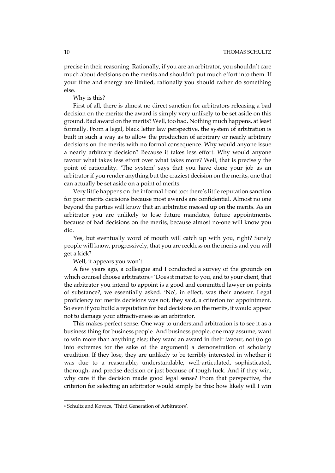precise in their reasoning. Rationally, if you are an arbitrator, you shouldn't care much about decisions on the merits and shouldn't put much effort into them. If your time and energy are limited, rationally you should rather do something else.

#### Why is this?

First of all, there is almost no direct sanction for arbitrators releasing a bad decision on the merits: the award is simply very unlikely to be set aside on this ground. Bad award on the merits? Well, too bad. Nothing much happens, at least formally. From a legal, black letter law perspective, the system of arbitration is built in such a way as to allow the production of arbitrary or nearly arbitrary decisions on the merits with no formal consequence. Why would anyone issue a nearly arbitrary decision? Because it takes less effort. Why would anyone favour what takes less effort over what takes more? Well, that is precisely the point of rationality. 'The system' says that you have done your job as an arbitrator if you render anything but the craziest decision on the merits, one that can actually be set aside on a point of merits.

Very little happens on the informal front too: there's little reputation sanction for poor merits decisions because most awards are confidential. Almost no one beyond the parties will know that an arbitrator messed up on the merits. As an arbitrator you are unlikely to lose future mandates, future appointments, because of bad decisions on the merits, because almost no-one will know you did.

Yes, but eventually word of mouth will catch up with you, right? Surely people will know, progressively, that you are reckless on the merits and you will get a kick?

Well, it appears you won't.

A few years ago, a colleague and I conducted a survey of the grounds on which counsel choose arbitrators.<sup>21</sup> 'Does it matter to you, and to your client, that the arbitrator you intend to appoint is a good and committed lawyer on points of substance?, we essentially asked. 'No', in effect, was their answer. Legal proficiency for merits decisions was not, they said, a criterion for appointment. So even if you build a reputation for bad decisions on the merits, it would appear not to damage your attractiveness as an arbitrator.

This makes perfect sense. One way to understand arbitration is to see it as a business thing for business people. And business people, one may assume, want to win more than anything else; they want an award in their favour, not (to go into extremes for the sake of the argument) a demonstration of scholarly erudition. If they lose, they are unlikely to be terribly interested in whether it was due to a reasonable, understandable, well-articulated, sophisticated, thorough, and precise decision or just because of tough luck. And if they win, why care if the decision made good legal sense? From that perspective, the criterion for selecting an arbitrator would simply be this: how likely will I win

<sup>&</sup>lt;sup>21</sup> Schultz and Kovacs, 'Third Generation of Arbitrators'.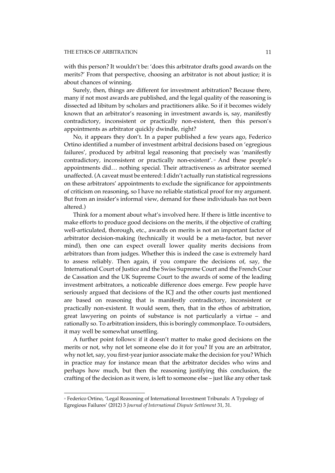with this person? It wouldn't be: 'does this arbitrator drafts good awards on the merits?' From that perspective, choosing an arbitrator is not about justice; it is about chances of winning.

Surely, then, things are different for investment arbitration? Because there, many if not most awards are published, and the legal quality of the reasoning is dissected ad libitum by scholars and practitioners alike. So if it becomes widely known that an arbitrator's reasoning in investment awards is, say, manifestly contradictory, inconsistent or practically non-existent, then this person's appointments as arbitrator quickly dwindle, right?

No, it appears they don't. In a paper published a few years ago, Federico Ortino identified a number of investment arbitral decisions based on 'egregious failures', produced by arbitral legal reasoning that precisely was 'manifestly contradictory, inconsistent or practically non-existent'.<sup>22</sup> And these people's appointments did… nothing special. Their attractiveness as arbitrator seemed unaffected. (A caveat must be entered: I didn't actually run statistical regressions on these arbitrators' appointments to exclude the significance for appointments of criticism on reasoning, so I have no reliable statistical proof for my argument. But from an insider's informal view, demand for these individuals has not been altered.)

Think for a moment about what's involved here. If there is little incentive to make efforts to produce good decisions on the merits, if the objective of crafting well-articulated, thorough, etc., awards on merits is not an important factor of arbitrator decision-making (technically it would be a meta-factor, but never mind), then one can expect overall lower quality merits decisions from arbitrators than from judges. Whether this is indeed the case is extremely hard to assess reliably. Then again, if you compare the decisions of, say, the International Court of Justice and the Swiss Supreme Court and the French Cour de Cassation and the UK Supreme Court to the awards of some of the leading investment arbitrators, a noticeable difference does emerge. Few people have seriously argued that decisions of the ICJ and the other courts just mentioned are based on reasoning that is manifestly contradictory, inconsistent or practically non-existent. It would seem, then, that in the ethos of arbitration, great lawyering on points of substance is not particularly a virtue – and rationally so. To arbitration insiders, this is boringly commonplace. To outsiders, it may well be somewhat unsettling.

A further point follows: if it doesn't matter to make good decisions on the merits or not, why not let someone else do it for you? If you are an arbitrator, why not let, say, you first-year junior associate make the decision for you? Which in practice may for instance mean that the arbitrator decides who wins and perhaps how much, but then the reasoning justifying this conclusion, the crafting of the decision as it were, is left to someone else – just like any other task

<sup>22</sup> Federico Ortino, 'Legal Reasoning of International Investment Tribunals: A Typology of Egregious Failures' (2012) 3 *Journal of International Dispute Settlement* 31, 31.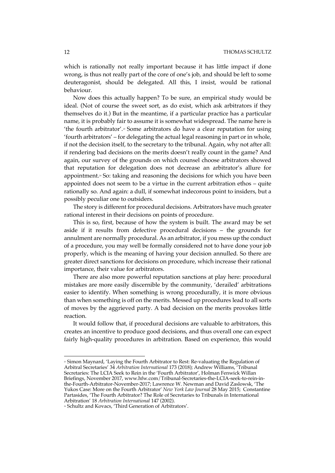which is rationally not really important because it has little impact if done wrong, is thus not really part of the core of one's job, and should be left to some deuteragonist, should be delegated. All this, I insist, would be rational behaviour.

Now does this actually happen? To be sure, an empirical study would be ideal. (Not of course the sweet sort, as do exist, which ask arbitrators if they themselves do it.) But in the meantime, if a particular practice has a particular name, it is probably fair to assume it is somewhat widespread. The name here is 'the fourth arbitrator'.<sup>23</sup> Some arbitrators do have a clear reputation for using 'fourth arbitrators' – for delegating the actual legal reasoning in part or in whole, if not the decision itself, to the secretary to the tribunal. Again, why not after all: if rendering bad decisions on the merits doesn't really count in the game? And again, our survey of the grounds on which counsel choose arbitrators showed that reputation for delegation does not decrease an arbitrator's allure for appointment.<sup>24</sup> So: taking and reasoning the decisions for which you have been appointed does not seem to be a virtue in the current arbitration ethos – quite rationally so. And again: a dull, if somewhat indecorous point to insiders, but a possibly peculiar one to outsiders.

The story is different for procedural decisions. Arbitrators have much greater rational interest in their decisions on points of procedure.

This is so, first, because of how the system is built. The award may be set aside if it results from defective procedural decisions – the grounds for annulment are normally procedural. As an arbitrator, if you mess up the conduct of a procedure, you may well be formally considered not to have done your job properly, which is the meaning of having your decision annulled. So there are greater direct sanctions for decisions on procedure, which increase their rational importance, their value for arbitrators.

There are also more powerful reputation sanctions at play here: procedural mistakes are more easily discernible by the community, 'derailed' arbitrations easier to identify. When something is wrong procedurally, it is more obvious than when something is off on the merits. Messed up procedures lead to all sorts of moves by the aggrieved party. A bad decision on the merits provokes little reaction.

It would follow that, if procedural decisions are valuable to arbitrators, this creates an incentive to produce good decisions, and thus overall one can expect fairly high-quality procedures in arbitration. Based on experience, this would

<sup>23</sup> Simon Maynard, 'Laying the Fourth Arbitrator to Rest: Re-valuating the Regulation of Arbitral Secretaries' 34 *Arbitration International* 173 (2018); Andrew Williams, 'Tribunal Secretaries: The LCIA Seek to Rein in the 'Fourth Arbitrator', Holman Fenwick Willan Briefings, November 2017, www.hfw.com/Tribunal-Secretaries-the-LCIA-seek-to-rein-inthe-Fourth-Arbitrator-November-2017; Lawrence W. Newman and David Zaslowsk, 'The Yukos Case: More on the Fourth Arbitrator' *New York Law Journal* 28 May 2015; Constantine Partasides, 'The Fourth Arbitrator? The Role of Secretaries to Tribunals in International Arbitration' 18 *Arbitration International* 147 (2002).

<sup>24</sup> Schultz and Kovacs, 'Third Generation of Arbitrators'.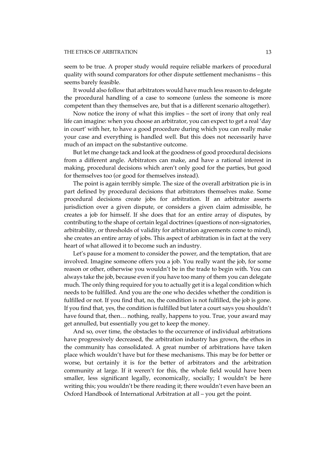seem to be true. A proper study would require reliable markers of procedural quality with sound comparators for other dispute settlement mechanisms – this seems barely feasible.

It would also follow that arbitrators would have much less reason to delegate the procedural handling of a case to someone (unless the someone is more competent than they themselves are, but that is a different scenario altogether).

Now notice the irony of what this implies – the sort of irony that only real life can imagine: when you choose an arbitrator, you can expect to get a real 'day in court' with her, to have a good procedure during which you can really make your case and everything is handled well. But this does not necessarily have much of an impact on the substantive outcome.

But let me change tack and look at the goodness of good procedural decisions from a different angle. Arbitrators can make, and have a rational interest in making, procedural decisions which aren't only good for the parties, but good for themselves too (or good for themselves instead).

The point is again terribly simple. The size of the overall arbitration pie is in part defined by procedural decisions that arbitrators themselves make. Some procedural decisions create jobs for arbitration. If an arbitrator asserts jurisdiction over a given dispute, or considers a given claim admissible, he creates a job for himself. If she does that for an entire array of disputes, by contributing to the shape of certain legal doctrines (questions of non-signatories, arbitrability, or thresholds of validity for arbitration agreements come to mind), she creates an entire array of jobs. This aspect of arbitration is in fact at the very heart of what allowed it to become such an industry.

Let's pause for a moment to consider the power, and the temptation, that are involved. Imagine someone offers you a job. You really want the job, for some reason or other, otherwise you wouldn't be in the trade to begin with. You can always take the job, because even if you have too many of them you can delegate much. The only thing required for you to actually get it is a legal condition which needs to be fulfilled. And you are the one who decides whether the condition is fulfilled or not. If you find that, no, the condition is not fulfilled, the job is gone. If you find that, yes, the condition is fulfilled but later a court says you shouldn't have found that, then... nothing, really, happens to you. True, your award may get annulled, but essentially you get to keep the money.

And so, over time, the obstacles to the occurrence of individual arbitrations have progressively decreased, the arbitration industry has grown, the ethos in the community has consolidated. A great number of arbitrations have taken place which wouldn't have but for these mechanisms. This may be for better or worse, but certainly it is for the better of arbitrators and the arbitration community at large. If it weren't for this, the whole field would have been smaller, less significant legally, economically, socially; I wouldn't be here writing this; you wouldn't be there reading it; there wouldn't even have been an Oxford Handbook of International Arbitration at all – you get the point.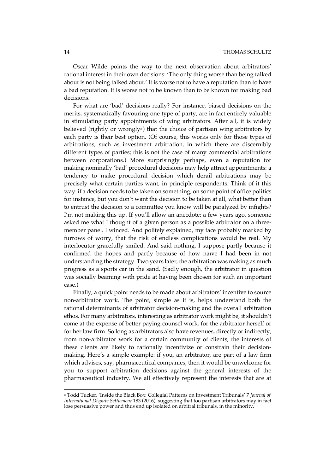Oscar Wilde points the way to the next observation about arbitrators' rational interest in their own decisions: 'The only thing worse than being talked about is not being talked about.' It is worse not to have a reputation than to have a bad reputation. It is worse not to be known than to be known for making bad decisions.

For what are 'bad' decisions really? For instance, biased decisions on the merits, systematically favouring one type of party, are in fact entirely valuable in stimulating party appointments of wing arbitrators. After all, it is widely believed (rightly or wrongly<sup>25</sup>) that the choice of partisan wing arbitrators by each party is their best option. (Of course, this works only for those types of arbitrations, such as investment arbitration, in which there are discernibly different types of parties; this is not the case of many commercial arbitrations between corporations.) More surprisingly perhaps, even a reputation for making nominally 'bad' procedural decisions may help attract appointments: a tendency to make procedural decision which derail arbitrations may be precisely what certain parties want, in principle respondents. Think of it this way: if a decision needs to be taken on something, on some point of office politics for instance, but you don't want the decision to be taken at all, what better than to entrust the decision to a committee you know will be paralyzed by infights? I'm not making this up. If you'll allow an anecdote: a few years ago, someone asked me what I thought of a given person as a possible arbitrator on a threemember panel. I winced. And politely explained, my face probably marked by furrows of worry, that the risk of endless complications would be real. My interlocutor gracefully smiled. And said nothing. I suppose partly because it confirmed the hopes and partly because of how naïve I had been in not understanding the strategy. Two years later, the arbitration was making as much progress as a sports car in the sand. (Sadly enough, the arbitrator in question was socially beaming with pride at having been chosen for such an important case.)

Finally, a quick point needs to be made about arbitrators' incentive to source non-arbitrator work. The point, simple as it is, helps understand both the rational determinants of arbitrator decision-making and the overall arbitration ethos. For many arbitrators, interesting as arbitrator work might be, it shouldn't come at the expense of better paying counsel work, for the arbitrator herself or for her law firm. So long as arbitrators also have revenues, directly or indirectly, from non-arbitrator work for a certain community of clients, the interests of these clients are likely to rationally incentivize or constrain their decisionmaking. Here's a simple example: if you, an arbitrator, are part of a law firm which advises, say, pharmaceutical companies, then it would be unwelcome for you to support arbitration decisions against the general interests of the pharmaceutical industry. We all effectively represent the interests that are at

<sup>25</sup> Todd Tucker, 'Inside the Black Box: Collegial Patterns on Investment Tribunals' 7 *Journal of International Dispute Settlement* 183 (2016), suggesting that too partisan arbitrators may in fact lose persuasive power and thus end up isolated on arbitral tribunals, in the minority.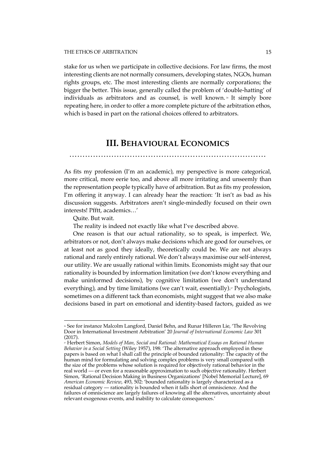stake for us when we participate in collective decisions. For law firms, the most interesting clients are not normally consumers, developing states, NGOs, human rights groups, etc. The most interesting clients are normally corporations; the bigger the better. This issue, generally called the problem of 'double-hatting' of individuals as arbitrators and as counsel, is well known.<sup>26</sup> It simply bore repeating here, in order to offer a more complete picture of the arbitration ethos, which is based in part on the rational choices offered to arbitrators.

# **III. BEHAVIOURAL ECONOMICS**

…………………………………………………………………

As fits my profession (I'm an academic), my perspective is more categorical, more critical, more eerie too, and above all more irritating and unseemly than the representation people typically have of arbitration. But as fits my profession, I'm offering it anyway. I can already hear the reaction: 'It isn't as bad as his discussion suggests. Arbitrators aren't single-mindedly focused on their own interests! Pfftt, academics…'

Quite. But wait.

 $\overline{a}$ 

The reality is indeed not exactly like what I've described above.

One reason is that our actual rationality, so to speak, is imperfect. We, arbitrators or not, don't always make decisions which are good for ourselves, or at least not as good they ideally, theoretically could be. We are not always rational and rarely entirely rational. We don't always maximise our self-interest, our utility. We are usually rational within limits. Economists might say that our rationality is bounded by information limitation (we don't know everything and make uninformed decisions), by cognitive limitation (we don't understand everything), and by time limitations (we can't wait, essentially).<sup>27</sup> Psychologists, sometimes on a different tack than economists, might suggest that we also make decisions based in part on emotional and identity-based factors, guided as we

<sup>&</sup>lt;sup>26</sup> See for instance Malcolm Langford, Daniel Behn, and Runar Hilleren Lie, 'The Revolving Door in International Investment Arbitration' 20 *Journal of International Economic Law* 301 (2017).

<sup>27</sup> Herbert Simon, *Models of Man, Social and Rational: Mathematical Essays on Rational Human Behavior in a Social Setting* (Wiley 1957), 198: 'The alternative approach employed in these papers is based on what I shall call the principle of bounded rationality: The capacity of the human mind for formulating and solving complex problems is very small compared with the size of the problems whose solution is required for objectively rational behavior in the real world — or even for a reasonable approximation to such objective rationality. Herbert Simon, 'Rational Decision Making in Business Organizations' [Nobel Memorial Lecture], 69 *American Economic Review*, 493, 502: 'bounded rationality is largely characterized as a residual category — rationality is bounded when it falls short of omniscience. And the failures of omniscience are largely failures of knowing all the alternatives, uncertainty about relevant exogenous events, and inability to calculate consequences.'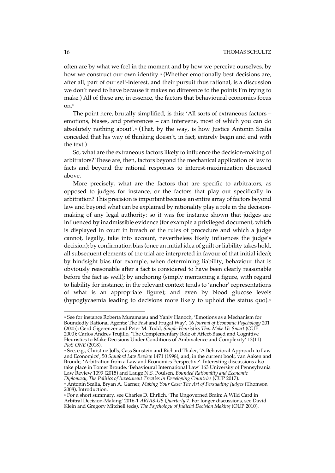often are by what we feel in the moment and by how we perceive ourselves, by how we construct our own identity.<sup>28</sup> (Whether emotionally best decisions are, after all, part of our self-interest, and their pursuit thus rational, is a discussion we don't need to have because it makes no difference to the points I'm trying to make.) All of these are, in essence, the factors that behavioural economics focus on.29

The point here, brutally simplified, is this: 'All sorts of extraneous factors – emotions, biases, and preferences – can intervene, most of which you can do absolutely nothing about'.<sup>30</sup> (That, by the way, is how Justice Antonin Scalia conceded that his way of thinking doesn't, in fact, entirely begin and end with the text.)

So, what are the extraneous factors likely to influence the decision-making of arbitrators? These are, then, factors beyond the mechanical application of law to facts and beyond the rational responses to interest-maximization discussed above.

More precisely, what are the factors that are specific to arbitrators, as opposed to judges for instance, or the factors that play out specifically in arbitration? This precision is important because an entire array of factors beyond law and beyond what can be explained by rationality play a role in the decisionmaking of any legal authority: so it was for instance shown that judges are influenced by inadmissible evidence (for example a privileged document, which is displayed in court in breach of the rules of procedure and which a judge cannot, legally, take into account, nevertheless likely influences the judge's decision); by confirmation bias (once an initial idea of guilt or liability takes hold, all subsequent elements of the trial are interpreted in favour of that initial idea); by hindsight bias (for example, when determining liability, behaviour that is obviously reasonable after a fact is considered to have been clearly reasonable before the fact as well); by anchoring (simply mentioning a figure, with regard to liability for instance, in the relevant context tends to 'anchor' representations of what is an appropriate figure); and even by blood glucose levels (hypoglycaemia leading to decisions more likely to uphold the status quo).<sup>31</sup>

<sup>28</sup> See for instance Roberta Muramatsu and Yaniv Hanoch, 'Emotions as a Mechanism for Boundedly Rational Agents: The Fast and Frugal Way', 16 *Journal of Economic Psychology* 201 (2005); Gerd Gigerenzer and Peter M. Todd, *Simple Heuristics That Make Us Smart* (OUP 2000); Carlos Andres Trujillo, 'The Complementary Role of Affect-Based and Cognitive Heuristics to Make Decisions Under Conditions of Ambivalence and Complexity' 13(11) *PloS ONE* (2018).

<sup>29</sup> See, e.g., Christine Jolls, Cass Sunstein and Richard Thaler, 'A Behavioral Approach to Law and Economics', 50 *Stanford Law Review* 1471 (1998), and, in the current book, van Aaken and Broude, 'Arbitration from a Law and Economics Perspective'. Interesting discussions also take place in Tomer Broude, 'Behavioural International Law' 163 University of Pennsylvania Law Review 1099 (2015) and Lauge N.*S.* Poulsen, *Bounded Rationality and Economic Diplomacy, The Politics of Investment Treaties in Developing Countries* (CUP 2017).

<sup>30</sup> Antonin Scalia, Bryan A. Garner, *Making Your Case: The Art of Persuading Judges* (Thomson 2008), Introduction.

<sup>31</sup> For a short summary, see Charles D. Ehrlich, 'The Ungoverned Brain: A Wild Card in Arbitral Decision-Making' 2016-1 *ARIAS-US Quarterly* 7. For longer discussions, see David Klein and Gregory Mitchell (eds), *The Psychology of Judicial Decision Making* (OUP 2010).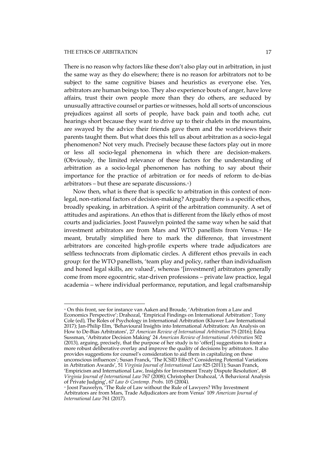$\overline{a}$ 

There is no reason why factors like these don't also play out in arbitration, in just the same way as they do elsewhere; there is no reason for arbitrators not to be subject to the same cognitive biases and heuristics as everyone else. Yes, arbitrators are human beings too. They also experience bouts of anger, have love affairs, trust their own people more than they do others, are seduced by unusually attractive counsel or parties or witnesses, hold all sorts of unconscious prejudices against all sorts of people, have back pain and tooth ache, cut hearings short because they want to drive up to their chalets in the mountains, are swayed by the advice their friends gave them and the worldviews their parents taught them. But what does this tell us about arbitration as a socio-legal phenomenon? Not very much. Precisely because these factors play out in more or less all socio-legal phenomena in which there are decision-makers. (Obviously, the limited relevance of these factors for the understanding of arbitration as a socio-legal phenomenon has nothing to say about their importance for the practice of arbitration or for needs of reform to de-bias arbitrators – but these are separate discussions. $\infty$ )

Now then, what is there that is specific to arbitration in this context of nonlegal, non-rational factors of decision-making? Arguably there is a specific ethos, broadly speaking, in arbitration. A spirit of the arbitration community. A set of attitudes and aspirations. An ethos that is different from the likely ethos of most courts and judiciaries. Joost Pauwelyn pointed the same way when he said that investment arbitrators are from Mars and WTO panellists from Venus.<sup>33</sup> He meant, brutally simplified here to mark the difference, that investment arbitrators are conceited high-profile experts where trade adjudicators are selfless technocrats from diplomatic circles. A different ethos prevails in each group: for the WTO panellists, 'team play and policy, rather than individualism and honed legal skills, are valued', whereas '[investment] arbitrators generally come from more egocentric, star-driven professions – private law practice, legal academia – where individual performance, reputation, and legal craftsmanship

<sup>32</sup> On this front, see for instance van Aaken and Broude, 'Arbitration from a Law and Economics Perspective'; Drahozal, 'Empirical Findings on International Arbitration'; Tony Cole (ed), The Roles of Psychology in International Arbitration (Kluwer Law International 2017); Jan-Philip Elm, 'Behavioural Insights into International Arbitration: An Analysis on How to De-Bias Arbitrators', 27 *American Review of International Arbitration* 75 (2016); Edna Sussman, 'Arbitrator Decision Making' 24 *American Review of International Arbitration* 502 (2013), arguing, precisely, that the purpose of her study is to 'offer[] suggestions to foster a more robust deliberative overlay and improve the quality of decisions by arbitrators. It also provides suggestions for counsel's consideration to aid them in capitalizing on these unconscious influences'; Susan Franck, 'The ICSID Effect? Considering Potential Variations in Arbitration Awards', 51 *Virginia Journal of International Law* 825 (2011); Susan Franck, 'Empiricism and International Law, Insights for Investment Treaty Dispute Resolution', 48 *Virginia Journal of International Law* 767 (2008); Christopher Drahozal, 'A Behavioral Analysis of Private Judging', 67 *Law & Contemp. Probs.* 105 (2004).

 $\scriptstyle\rm s$  Joost Pauwelyn, 'The Rule of Law without the Rule of Lawyers? Why Investment Arbitrators are from Mars, Trade Adjudicators are from Venus' 109 *American Journal of International Law* 761 (2017).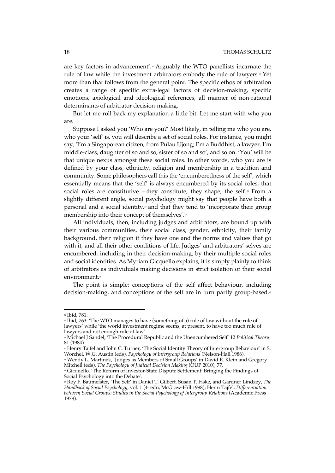are key factors in advancement'.<sup>34</sup> Arguably the WTO panellists incarnate the rule of law while the investment arbitrators embody the rule of lawyers.<sup>35</sup> Yet more than that follows from the general point. The specific ethos of arbitration creates a range of specific extra-legal factors of decision-making, specific emotions, axiological and ideological references, all manner of non-rational determinants of arbitrator decision-making.

But let me roll back my explanation a little bit. Let me start with who you are.

Suppose I asked you 'Who are you?' Most likely, in telling me who you are, who your 'self' is, you will describe a set of social roles. For instance, you might say, 'I'm a Singaporean citizen, from Pulau Ujong; I'm a Buddhist, a lawyer, I'm middle-class, daughter of so and so, sister of so and so', and so on. 'You' will be that unique nexus amongst these social roles. In other words, who you are is defined by your class, ethnicity, religion and membership in a tradition and community. Some philosophers call this the 'encumberedness of the self', which essentially means that the 'self' is always encumbered by its social roles, that social roles are constitutive – they constitute, they shape, the self.  $*$  From a slightly different angle, social psychology might say that people have both a personal and a social identity, $\overline{x}$  and that they tend to 'incorporate their group membership into their concept of themselves'.<sup>38</sup>

All individuals, then, including judges and arbitrators, are bound up with their various communities, their social class, gender, ethnicity, their family background, their religion if they have one and the norms and values that go with it, and all their other conditions of life. Judges' and arbitrators' selves are encumbered, including in their decision-making, by their multiple social roles and social identities. As Myriam Gicquello explains, it is simply plainly to think of arbitrators as individuals making decisions in strict isolation of their social environment.<sup>39</sup>

The point is simple: conceptions of the self affect behaviour, including decision-making, and conceptions of the self are in turn partly group-based.<sup>®</sup>

<sup>34</sup> Ibid, 781.

<sup>&</sup>lt;sup>35</sup> Ibid, 763: 'The WTO manages to have (something of a) rule of law without the rule of lawyers' while 'the world investment regime seems, at present, to have too much rule of lawyers and not enough rule of law'.

<sup>36</sup> Michael J Sandel, 'The Procedural Republic and the Unencumbered Self' 12 *Political Theory* 81 (1984).

<sup>37</sup> Henry Tajfel and John C. Turner, 'The Social Identity Theory of Intergroup Behaviour' in S. Worchel, W.G. Austin (eds), *Psychology of Intergroup Relations* (Nelson-Hall 1986).

<sup>&</sup>lt;sup>38</sup> Wendy L. Martinek, 'Judges as Members of Small Groups' in David E. Klein and Gregory Mitchell (eds), *The Psychology of Judicial Decision Making* (OUP 2010), 77.

<sup>39</sup> Gicquello, 'The Reform of Investor-State Dispute Settlement: Bringing the Findings of Social Psychology into the Debate'.

<sup>40</sup> Roy F. Baumeister, 'The Self' in Daniel T. Gilbert, Susan T. Fiske, and Gardner Lindzey, *The Handbook of Social Psychology, vol. 1 (4<sup>th</sup> edn, McGraw-Hill 1998); Henri Tajfel, Differentiation between Social Groups: Studies in the Social Psychology of Intergroup Relations* (Academic Press 1978).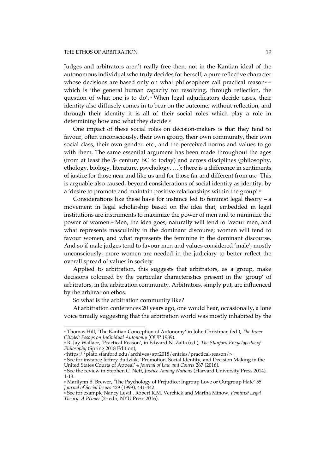Judges and arbitrators aren't really free then, not in the Kantian ideal of the autonomous individual who truly decides for herself, a pure reflective character whose decisions are based only on what philosophers call practical reason<sup> $4-1$ </sup> which is 'the general human capacity for resolving, through reflection, the question of what one is to do'.<sup>1</sup> When legal adjudicators decide cases, their identity also diffusely comes in to bear on the outcome, without reflection, and through their identity it is all of their social roles which play a role in determining how and what they decide.<sup>43</sup>

One impact of these social roles on decision-makers is that they tend to favour, often unconsciously, their own group, their own community, their own social class, their own gender, etc., and the perceived norms and values to go with them. The same essential argument has been made throughout the ages (from at least the  $5<sup>th</sup>$  century BC to today) and across disciplines (philosophy, ethology, biology, literature, psychology, …): there is a difference in sentiments of justice for those near and like us and for those far and different from us.<sup>44</sup> This is arguable also caused, beyond considerations of social identity as identity, by a 'desire to promote and maintain positive relationships within the group'.<sup>6</sup>

Considerations like these have for instance led to feminist legal theory – a movement in legal scholarship based on the idea that, embedded in legal institutions are instruments to maximize the power of men and to minimize the power of women.<sup>46</sup> Men, the idea goes, naturally will tend to favour men, and what represents masculinity in the dominant discourse; women will tend to favour women, and what represents the feminine in the dominant discourse. And so if male judges tend to favour men and values considered 'male', mostly unconsciously, more women are needed in the judiciary to better reflect the overall spread of values in society.

Applied to arbitration, this suggests that arbitrators, as a group, make decisions coloured by the particular characteristics present in the 'group' of arbitrators, in the arbitration community. Arbitrators, simply put, are influenced by the arbitration ethos.

So what is the arbitration community like?

 $\overline{a}$ 

At arbitration conferences 20 years ago, one would hear, occasionally, a lone voice timidly suggesting that the arbitration world was mostly inhabited by the

<sup>41</sup> Thomas Hill, 'The Kantian Conception of Autonomy' in John Christman (ed.), *The Inner Citadel: Essays on Individual Autonomy* (OUP 1989).

<sup>42</sup> R. Jay Wallace, 'Practical Reason', in Edward N. Zalta (ed.), *The Stanford Encyclopedia of Philosophy* (Spring 2018 Edition),

<sup>&</sup>lt;https://plato.stanford.edu/archives/spr2018/entries/practical-reason/>.

<sup>43</sup> See for instance Jeffrey Budziak, 'Promotion, Social Identity, and Decision Making in the United States Courts of Appeal' 4 *Journal of Law and Courts* 267 (2016). <sup>44</sup> See the review in Stephen C. Neff, *Justice Among Nations* (Harvard University Press 2014),

<sup>1-13.</sup>

<sup>&</sup>lt;sup>45</sup> Marilynn B. Brewer, 'The Psychology of Prejudice: Ingroup Love or Outgroup Hate' 55 *Journal of Social Issues* 429 (1999), 441-442.

<sup>46</sup> See for example Nancy Levit , Robert R.M. Verchick and Martha Minow, *Feminist Legal Theory: A Primer* (2nd edn, NYU Press 2016).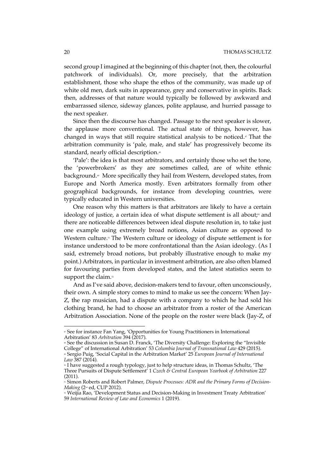second group I imagined at the beginning of this chapter(not, then, the colourful patchwork of individuals). Or, more precisely, that the arbitration establishment, those who shape the ethos of the community, was made up of white old men, dark suits in appearance, grey and conservative in spirits. Back then, addresses of that nature would typically be followed by awkward and embarrassed silence, sideway glances, polite applause, and hurried passage to the next speaker.

Since then the discourse has changed. Passage to the next speaker is slower, the applause more conventional. The actual state of things, however, has changed in ways that still require statistical analysis to be noticed. $\sigma$  That the arbitration community is 'pale, male, and stale' has progressively become its standard, nearly official description.<sup>48</sup>

'Pale': the idea is that most arbitrators, and certainly those who set the tone, the 'powerbrokers' as they are sometimes called, are of white ethnic background.<sup>49</sup> More specifically they hail from Western, developed states, from Europe and North America mostly. Even arbitrators formally from other geographical backgrounds, for instance from developing countries, were typically educated in Western universities.

One reason why this matters is that arbitrators are likely to have a certain ideology of justice, a certain idea of what dispute settlement is all about;<sup>®</sup> and there are noticeable differences between ideal dispute resolution in, to take just one example using extremely broad notions, Asian culture as opposed to Western culture.<sup>51</sup> The Western culture or ideology of dispute settlement is for instance understood to be more confrontational than the Asian ideology. (As I said, extremely broad notions, but probably illustrative enough to make my point.) Arbitrators, in particular in investment arbitration, are also often blamed for favouring parties from developed states, and the latest statistics seem to support the claim.<sup>52</sup>

And as I've said above, decision-makers tend to favour, often unconsciously, their own. A simple story comes to mind to make us see the concern: When Jay-Z, the rap musician, had a dispute with a company to which he had sold his clothing brand, he had to choose an arbitrator from a roster of the American Arbitration Association. None of the people on the roster were black (Jay-Z, of

<sup>&</sup>lt;sup>*v*</sup> See for instance Fan Yang, 'Opportunities for Young Practitioners in International Arbitration' 83 *Arbitration* 394 (2017).

<sup>&</sup>lt;sup>48</sup> See the discussion in Susan D. Franck, 'The Diversity Challenge: Exploring the "Invisible" College" of International Arbitration' 53 *Columbia Journal of Transnational Law* 429 (2015). <sup>49</sup> Sergio Puig, 'Social Capital in the Arbitration Market' 25 *European Journal of International Law* 387 (2014).

<sup>&</sup>lt;sup>®</sup> I have suggested a rough typology, just to help structure ideas, in Thomas Schultz, 'The Three Pursuits of Dispute Settlement' 1 *Czech & Central European Yearbook of Arbitration* 227 (2011).

<sup>51</sup> Simon Roberts and Robert Palmer, *Dispute Processes: ADR and the Primary Forms of Decision-Making* (2<sup>nd</sup> ed, CUP 2012).

<sup>&</sup>lt;sup>52</sup> Weijia Rao, 'Development Status and Decision-Making in Investment Treaty Arbitration' 59 *International Review of Law and Economics* 1 (2019).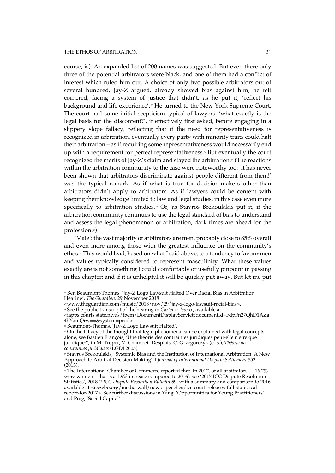course, is). An expanded list of 200 names was suggested. But even there only three of the potential arbitrators were black, and one of them had a conflict of interest which ruled him out. A choice of only two possible arbitrators out of several hundred, Jay-Z argued, already showed bias against him; he felt cornered, facing a system of justice that didn't, as he put it, 'reflect his background and life experience'.<sup>53</sup> He turned to the New York Supreme Court. The court had some initial scepticism typical of lawyers: 'what exactly is the legal basis for the discontent?', it effectively first asked, before engaging in a slippery slope fallacy, reflecting that if the need for representativeness is recognized in arbitration, eventually every party with minority traits could halt their arbitration – as if requiring some representativeness would necessarily end up with a requirement for perfect representativeness.<sup>54</sup> But eventually the court recognized the merits of Jay-Z's claim and stayed the arbitration.<sup>55</sup> (The reactions within the arbitration community to the case were noteworthy too: 'it has never been shown that arbitrators discriminate against people different from them!' was the typical remark. As if what is true for decision-makers other than arbitrators didn't apply to arbitrators. As if lawyers could be content with keeping their knowledge limited to law and legal studies, in this case even more specifically to arbitration studies.<sup>56</sup> Or, as Stavros Brekoulakis put it, if the arbitration community continues to use the legal standard of bias to understand and assess the legal phenomenon of arbitration, dark times are ahead for the profession.<sup>57</sup>)

'Male': the vast majority of arbitrators are men, probably close to 85% overall and even more among those with the greatest influence on the community's ethos.<sup>8</sup> This would lead, based on what I said above, to a tendency to favour men and values typically considered to represent masculinity. What these values exactly are is not something I could comfortably or usefully pinpoint in passing in this chapter; and if it is unhelpful it will be quickly put away. But let me put

 $^{\circ}$  Ben Beaumont-Thomas, 'Jay-Z Logo Lawsuit Halted Over Racial Bias in Arbitration Hearing', *The Guardian,* 29 November 2018

<sup>&</sup>lt;www.theguardian.com/music/2018/nov/29/jay-z-logo-lawsuit-racial-bias>.

<sup>54</sup> See the public transcript of the hearing in *Carter v. Iconix*, available at <iapps.courts.state.ny.us/fbem/DocumentDisplayServlet?documentId=FdpFn27QhD1AZa

<sup>4</sup>bYamQrw==&system=prod>

<sup>&</sup>lt;sup>55</sup> Beaumont-Thomas, 'Jay-Z Logo Lawsuit Halted'.

 $\cdot$  On the fallacy of the thought that legal phenomena can be explained with legal concepts alone, see Bastien François, 'Une théorie des contraintes juridiques peut-elle n'être que juridique?', in M. Troper, V. Champeil-Desplats, C. Grzegorczyk (eds.), *Théorie des contraintes juridiques* (LGDJ 2005).

<sup>57</sup> Stavros Brekoulakis, 'Systemic Bias and the Institution of International Arbitration: A New Approach to Arbitral Decision-Making' 4 *Journal of International Dispute Settlement* 553  $(2013).$ 

<sup>&</sup>lt;sup>88</sup> The International Chamber of Commerce reported that 'In 2017, of all arbitrators ... 16.7% were women – that is a 1.9% increase compared to 2016': see '2017 ICC Dispute Resolution Statistics', 2018-2 *ICC Dispute Resolution Bulletin* 59, with a summary and comparison to 2016 available at <iccwbo.org/media-wall/news-speeches/icc-court-releases-full-statisticalreport-for-2017>. See further discussions in Yang, 'Opportunities for Young Practitioners' and Puig, 'Social Capital'.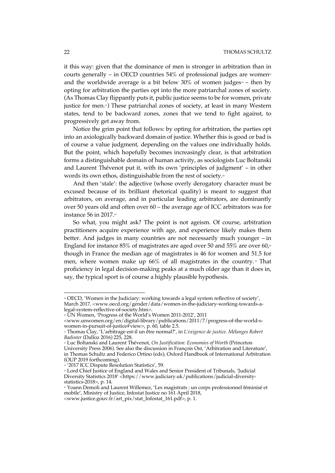it this way: given that the dominance of men is stronger in arbitration than in courts generally – in OECD countries  $54\%$  of professional judges are women<sup>99</sup> and the worldwide average is a bit below  $30\%$  of women judges  $-$  then by opting for arbitration the parties opt into the more patriarchal zones of society. (As Thomas Clay flippantly puts it, public justice seems to be for women, private justice for men.<sup>61</sup>) These patriarchal zones of society, at least in many Western states, tend to be backward zones, zones that we tend to fight against, to progressively get away from.

Notice the grim point that follows: by opting for arbitration, the parties opt into an axiologically backward domain of justice. Whether this is good or bad is of course a value judgment, depending on the values one individually holds. But the point, which hopefully becomes increasingly clear, is that arbitration forms a distinguishable domain of human activity, as sociologists Luc Boltanski and Laurent Thévenot put it, with its own 'principles of judgment' – in other words its own ethos, distinguishable from the rest of society.<sup>62</sup>

And then 'stale': the adjective (whose overly derogatory character must be excused because of its brilliant rhetorical quality) is meant to suggest that arbitrators, on average, and in particular leading arbitrators, are dominantly over 50 years old and often over 60 – the average age of ICC arbitrators was for instance 56 in 2017. $\circ$ 

So what, you might ask? The point is not ageism. Of course, arbitration practitioners acquire experience with age, and experience likely makes them better. And judges in many countries are not necessarily much younger – in England for instance 85% of magistrates are aged over 50 and 55% are over  $60<sub>1</sub>$ <sup>a</sup> though in France the median age of magistrates is 46 for women and 51.5 for men, where women make up  $66\%$  of all magistrates in the country.<sup>®</sup> That proficiency in legal decision-making peaks at a much older age than it does in, say, the typical sport is of course a highly plausible hypothesis.

<sup>59</sup> OECD, 'Women in the Judiciary: working towards a legal system reflective of society', March 2017, <www.oecd.org/gender/data/women-in-the-judiciary-working-towards-alegal-system-reflective-of-society.htm>.

 $\sim$  UN Women, 'Progress of the World's Women 2011-2012', 2011

<sup>&</sup>lt;www.unwomen.org/en/digital-library/publications/2011/7/progress-of-the-world-swomen-in-pursuit-of-justice#view>, p. 60, table 2.5.

<sup>61</sup> Thomas Clay, 'L'arbitrage est-il un être normal?', in *L'exigence de justice. Mélanges Robert Badinter* (Dalloz 2016) 225, 228.

<sup>62</sup> Luc Boltanski and Laurent Thévenot, *On Justification: Economies of Worth* (Princeton University Press 2006). See also the discussion in François Ost, 'Arbitration and Literature',

in Thomas Schultz and Federico Ortino (eds), Oxford Handbook of International Arbitration (OUP 2019 forthcoming).

<sup>&</sup>lt;sup>63</sup> '2017 ICC Dispute Resolution Statistics', 59.

<sup>&</sup>lt;sup>64</sup> Lord Chief Justice of England and Wales and Senior President of Tribunals, 'Judicial Diversity Statistics 2018' <https://www.judiciary.uk/publications/judicial-diversitystatistics-2018>, p. 14.

<sup>65</sup> Yoann Demoli and Laurent Willemez, 'Les magistrats : un corps professionnel féminisé et mobile', Ministry of Justice, Infostat Justice no 161 April 2018, <www.justice.gouv.fr/art\_pix/stat\_Infostat\_161.pdf>, p. 1.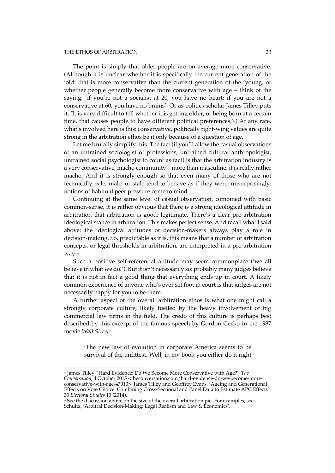#### THE ETHOS OF ARBITRATION 23

 $\overline{a}$ 

The point is simply that older people are on average more conservative. (Although it is unclear whether it is specifically the current generation of the 'old' that is more conservative than the current generation of the 'young, or whether people generally become more conservative with age – think of the saying: 'if you're not a socialist at 20, you have no heart; if you are not a conservative at 60, you have no brains'. Or as politics scholar James Tilley puts it, 'It is very difficult to tell whether it is getting older, or being born at a certain time, that causes people to have different political preferences.' $\omega$ ) At any rate, what's involved here is this: conservative, politically right-wing values are quite strong in the arbitration ethos be it only because of a question of age.

Let me brutally simplify this. The fact (if you'll allow the casual observations of an untrained sociologist of professions, untrained cultural anthropologist, untrained social psychologist to count as fact) is that the arbitration industry is a very conservative, macho community – more than masculine, it is really rather macho. And it is strongly enough so that even many of those who are not technically pale, male, or stale tend to behave as if they were; unsurprisingly: notions of habitual peer pressure come to mind.

Continuing at the same level of casual observation, combined with basic common-sense, it is rather obvious that there is a strong ideological attitude in arbitration that arbitration is good, legitimate. There's a clear pro-arbitration ideological stance in arbitration. This makes perfect sense. And recall what I said above: the ideological attitudes of decision-makers always play a role in decision-making. So, predictable as it is, this means that a number of arbitration concepts, or legal thresholds in arbitration, are interpreted in a pro-arbitration way.67

Such a positive self-referential attitude may seem commonplace ('we all believe in what we do!'). But it isn't necessarily so: probably many judges believe that it is not in fact a good thing that everything ends up in court. A likely common experience of anyone who's ever set foot in court is that judges are not necessarily happy for you to be there.

A further aspect of the overall arbitration ethos is what one might call a strongly corporate culture, likely fuelled by the heavy involvement of big commercial law firms in the field. The credo of this culture is perhaps best described by this excerpt of the famous speech by Gordon Gecko in the 1987 movie *Wall Street*:

'The new law of evolution in corporate America seems to be survival of the unfittest. Well, in my book you either do it right

<sup>66</sup> James Tilley, 'Hard Evidence: Do We Become More Conservative with Age?', *The Conversation*, 4 October 2015 <theconversation.com/hard-evidence-do-we-become-moreconservative-with-age-47910>; James Tilley and Geoffrey Evans, 'Ageing and Generational Effects on Vote Choice: Combining Cross-Sectional and Panel Data to Estimate APC Effects' 33 *Electoral Studies* 19 (2014).

<sup>&</sup>lt;sup>67</sup> See the discussion above on the size of the overall arbitration pie. For examples, see Schultz, 'Arbitral Decision-Making: Legal Realism and Law & Economics'.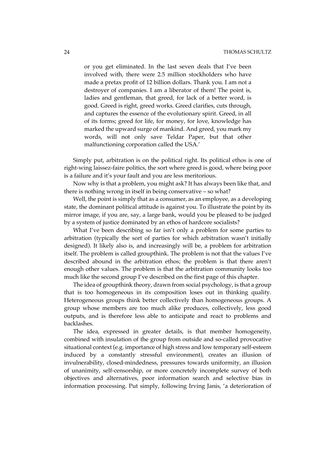or you get eliminated. In the last seven deals that I've been involved with, there were 2.5 million stockholders who have made a pretax profit of 12 billion dollars. Thank you. I am not a destroyer of companies. I am a liberator of them! The point is, ladies and gentleman, that greed, for lack of a better word, is good. Greed is right, greed works. Greed clarifies, cuts through, and captures the essence of the evolutionary spirit. Greed, in all of its forms; greed for life, for money, for love, knowledge has marked the upward surge of mankind. And greed, you mark my words, will not only save Teldar Paper, but that other malfunctioning corporation called the USA.'

Simply put, arbitration is on the political right. Its political ethos is one of right-wing laissez-faire politics, the sort where greed is good, where being poor is a failure and it's your fault and you are less meritorious.

Now why is that a problem, you might ask? It has always been like that, and there is nothing wrong in itself in being conservative – so what?

Well, the point is simply that as a consumer, as an employee, as a developing state, the dominant political attitude is against you. To illustrate the point by its mirror image, if you are, say, a large bank, would you be pleased to be judged by a system of justice dominated by an ethos of hardcore socialists?

What I've been describing so far isn't only a problem for some parties to arbitration (typically the sort of parties for which arbitration wasn't initially designed). It likely also is, and increasingly will be, a problem for arbitration itself. The problem is called groupthink. The problem is not that the values I've described abound in the arbitration ethos; the problem is that there aren't enough other values. The problem is that the arbitration community looks too much like the second group I've described on the first page of this chapter.

The idea of groupthink theory, drawn from social psychology, is that a group that is too homogeneous in its composition loses out in thinking quality. Heterogeneous groups think better collectively than homogeneous groups. A group whose members are too much alike produces, collectively, less good outputs, and is therefore less able to anticipate and react to problems and backlashes.

The idea, expressed in greater details, is that member homogeneity, combined with insulation of the group from outside and so-called provocative situational context (e.g. importance of high stress and low temporary self-esteem induced by a constantly stressful environment), creates an illusion of invulnerability, closed-mindedness, pressures towards uniformity, an illusion of unanimity, self-censorship, or more concretely incomplete survey of both objectives and alternatives, poor information search and selective bias in information processing. Put simply, following Irving Janis, 'a deterioration of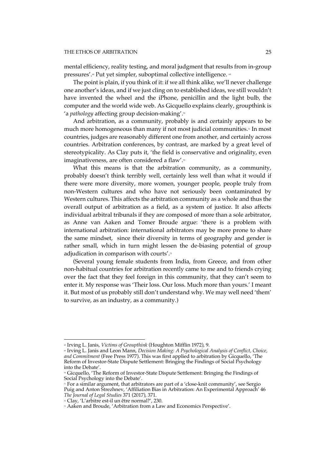#### THE ETHOS OF ARBITRATION 25

mental efficiency, reality testing, and moral judgment that results from in-group pressures'.<sup>68</sup> Put yet simpler, suboptimal collective intelligence. <sup>69</sup>

The point is plain, if you think of it: if we all think alike, we'll never challenge one another's ideas, and if we just cling on to established ideas, we still wouldn't have invented the wheel and the iPhone, penicillin and the light bulb, the computer and the world wide web. As Gicquello explains clearly, groupthink is 'a *pathology* affecting group decision-making'.70

And arbitration, as a community, probably is and certainly appears to be much more homogeneous than many if not most judicial communities.<sup>71</sup> In most countries, judges are reasonably different one from another, and certainly across countries. Arbitration conferences, by contrast, are marked by a great level of stereotypicality. As Clay puts it, 'the field is conservative and originality, even imaginativeness, are often considered a flaw'.<sup>22</sup>

What this means is that the arbitration community, as a community, probably doesn't think terribly well, certainly less well than what it would if there were more diversity, more women, younger people, people truly from non-Western cultures and who have not seriously been contaminated by Western cultures. This affects the arbitration community as a whole and thus the overall output of arbitration as a field, as a system of justice. It also affects individual arbitral tribunals if they are composed of more than a sole arbitrator, as Anne van Aaken and Tomer Broude argue: 'there is a problem with international arbitration: international arbitrators may be more prone to share the same mindset, since their diversity in terms of geography and gender is rather small, which in turn might lessen the de-biasing potential of group adjudication in comparison with courts'.<sup>33</sup>

(Several young female students from India, from Greece, and from other non-habitual countries for arbitration recently came to me and to friends crying over the fact that they feel foreign in this community, that they can't seem to enter it. My response was 'Their loss. Our loss. Much more than yours.' I meant it. But most of us probably still don't understand why. We may well need 'them' to survive, as an industry, as a community.)

 $\overline{a}$ <sup>68</sup> Irving L. Janis, *Victims of Groupthink* (Houghton Mifflin 1972), 9.

<sup>69</sup> Irving L. Janis and Leon Mann, *Decision Making: A Psychological Analysis of Conflict, Choice, and Commitment* (Free Press 1977). This was first applied to arbitration by Gicquello, 'The Reform of Investor-State Dispute Settlement: Bringing the Findings of Social Psychology into the Debate'.

<sup>70</sup> Gicquello, 'The Reform of Investor-State Dispute Settlement: Bringing the Findings of Social Psychology into the Debate'.

<sup>71</sup> For a similar argument, that arbitrators are part of a 'close-knit community', see Sergio Puig and Anton Strezhnev, 'Affiliation Bias in Arbitration: An Experimental Approach' 46 *The Journal of Legal Studies* 371 (2017), 371.

<sup>&</sup>lt;sup>22</sup> Clay, 'L'arbitre est-il un être normal?', 230.

<sup>73</sup> Aaken and Broude, 'Arbitration from a Law and Economics Perspective'.